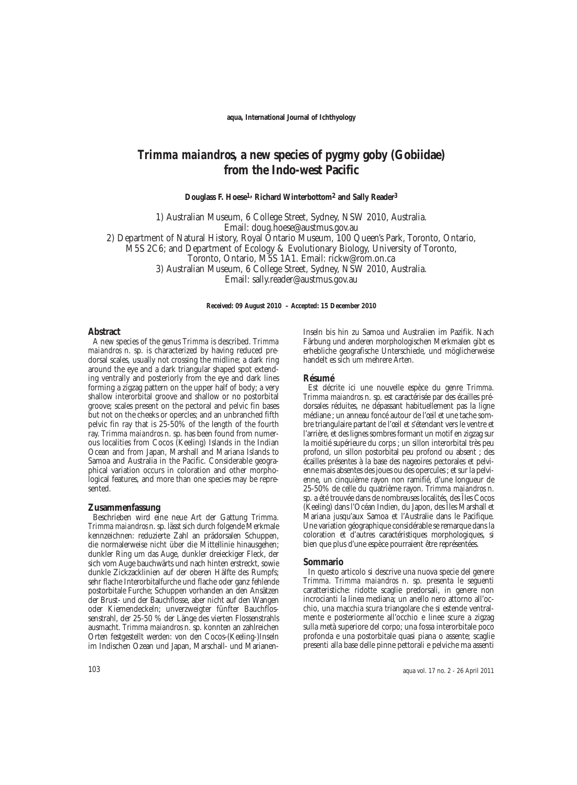# *Trimma maiandros***, a new species of pygmy goby (Gobiidae) from the Indo-west Pacific**

**Douglass F. Hoese1, Richard Winterbottom2 and Sally Reader<sup>3</sup>**

1) Australian Museum, 6 College Street, Sydney, NSW 2010, Australia. Email: doug.hoese@austmus.gov.au 2) Department of Natural History, Royal Ontario Museum, 100 Queen's Park, Toronto, Ontario, M5S 2C6; and Department of Ecology & Evolutionary Biology, University of Toronto, Toronto, Ontario, M5S 1A1. Email: rickw@rom.on.ca 3) Australian Museum, 6 College Street, Sydney, NSW 2010, Australia. Email: sally.reader@austmus.gov.au

**Received: 09 August 2010 – Accepted: 15 December 2010** 

#### **Abstract**

A new species of the genus *Trimma* is described. *Trimma maiandros* n. sp. is characterized by having reduced predorsal scales, usually not crossing the midline; a dark ring around the eye and a dark triangular shaped spot extending ventrally and posteriorly from the eye and dark lines forming a zigzag pattern on the upper half of body; a very shallow interorbital groove and shallow or no postorbital groove; scales present on the pectoral and pelvic fin bases but not on the cheeks or opercles; and an unbranched fifth pelvic fin ray that is 25-50% of the length of the fourth ray. *Trimma maiandros* n. sp. has been found from numerous localities from Cocos (Keeling) Islands in the Indian Ocean and from Japan, Marshall and Mariana Islands to Samoa and Australia in the Pacific. Considerable geographical variation occurs in coloration and other morphological features, and more than one species may be represented.

#### **Zusammenfassung**

Beschrieben wird eine neue Art der Gattung *Trimma. Trimma maiandros* n. sp. lässt sich durch folgende Merkmale kennzeichnen: reduzierte Zahl an prädorsalen Schuppen, die normalerweise nicht über die Mittellinie hinausgehen; dunkler Ring um das Auge, dunkler dreieckiger Fleck, der sich vom Auge bauchwärts und nach hinten erstreckt, sowie dunkle Zickzacklinien auf der oberen Hälfte des Rumpfs; sehr flache Interorbitalfurche und flache oder ganz fehlende postorbitale Furche; Schuppen vorhanden an den Ansätzen der Brust- und der Bauchflosse, aber nicht auf den Wangen oder Kiemendeckeln; unverzweigter fünfter Bauchflossenstrahl, der 25-50 % der Länge des vierten Flossenstrahls ausmacht. *Trimma maiandros* n. sp. konnten an zahlreichen Orten festgestellt werden: von den Cocos-(Keeling-)Inseln im Indischen Ozean und Japan, Marschall- und MarianenInseln bis hin zu Samoa und Australien im Pazifik. Nach Färbung und anderen morphologischen Merkmalen gibt es erhebliche geografische Unterschiede, und möglicherweise handelt es sich um mehrere Arten.

#### **Résumé**

Est décrite ici une nouvelle espèce du genre *Trimma. Trimma maiandros* n. sp. est caractérisée par des écailles prédorsales réduites, ne dépassant habituellement pas la ligne médiane ; un anneau foncé autour de l'œil et une tache sombre triangulaire partant de l'œil et s'étendant vers le ventre et l'arrière, et des lignes sombres formant un motif en zigzag sur la moitié supérieure du corps ; un sillon interorbital très peu profond, un sillon postorbital peu profond ou absent ; des écailles présentes à la base des nageoires pectorales et pelvienne mais absentes des joues ou des opercules ; et sur la pelvienne, un cinquième rayon non ramifié, d'une longueur de 25-50% de celle du quatrième rayon. *Trimma maiandros* n. sp. a été trouvée dans de nombreuses localités, des Îles Cocos (Keeling) dans l'Océan Indien, du Japon, des Îles Marshall et Mariana jusqu'aux Samoa et l'Australie dans le Pacifique. Une variation géographique considérable se remarque dans la coloration et d'autres caractéristiques morphologiques, si bien que plus d'une espèce pourraient être représentées.

#### **Sommario**

In questo articolo si descrive una nuova specie del genere *Trimma. Trimma maiandros* n. sp. presenta le seguenti caratteristiche: ridotte scaglie predorsali, in genere non incrocianti la linea mediana; un anello nero attorno all'occhio, una macchia scura triangolare che si estende ventralmente e posteriormente all'occhio e linee scure a zigzag sulla metà superiore del corpo; una fossa interorbitale poco profonda e una postorbitale quasi piana o assente; scaglie presenti alla base delle pinne pettorali e pelviche ma assenti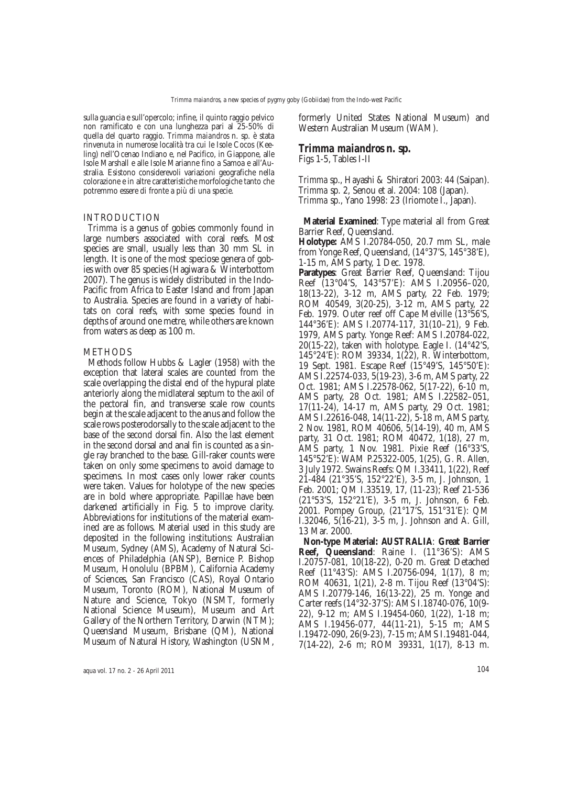sulla guancia e sull'opercolo; infine, il quinto raggio pelvico non ramificato e con una lunghezza pari al 25-50% di quella del quarto raggio. *Trimma maiandros* n. sp. è stata rinvenuta in numerose località tra cui le Isole Cocos (Kee ling) nell'Ocenao Indiano e, nel Pacifico, in Giappone, alle Isole Marshall e alle Isole Marianne fino a Samoa e all'Au stralia. Esistono considerevoli variazioni geografiche nella colorazione e in altre caratteristiche morfologiche tanto che potremmo essere di fronte a più di una specie.

## INTRODUCTION

*Trimma* is a genus of gobies commonly found in large numbers associated with coral reefs. Most species are small, usually less than 30 mm SL in length. It is one of the most speciose genera of gobies with over 85 species (Hagiwara & Winterbottom 2007). The genus is widely distributed in the Indo-Pacific from Africa to Easter Island and from Japan to Australia. Species are found in a variety of habitats on coral reefs, with some species found in depths of around one metre, while others are known from waters as deep as 100 m.

## **METHODS**

Methods follow Hubbs & Lagler (1958) with the exception that lateral scales are counted from the scale overlapping the distal end of the hypural plate anteriorly along the midlateral septum to the axil of the pectoral fin, and transverse scale row counts begin at the scale adjacent to the anus and follow the scale rows posterodorsally to the scale adjacent to the base of the second dorsal fin. Also the last element in the second dorsal and anal fin is counted as a single ray branched to the base. Gill-raker counts were taken on only some specimens to avoid damage to specimens. In most cases only lower raker counts were taken. Values for holotype of the new species are in bold where appropriate. Papillae have been darkened artificially in Fig. 5 to improve clarity. Abbreviations for institutions of the material examined are as follows. Material used in this study are deposited in the following institutions: Australian Museum, Sydney (AMS), Academy of Natural Sciences of Philadelphia (ANSP), Bernice P. Bishop Museum, Honolulu (BPBM), California Academy of Sciences, San Francisco (CAS), Royal Ontario Museum, Toronto (ROM), National Museum of Nature and Science, Tokyo (NSMT, formerly National Science Museum), Museum and Art Gallery of the Northern Territory, Darwin (NTM); Queensland Museum, Brisbane (QM), National Museum of Natural History, Washington (USNM,

formerly United States National Museum) and Western Australian Museum (WAM).

# *Trimma maiandros* **n. sp.**

Figs 1-5, Tables I-II

*Trimma* sp., Hayashi & Shiratori 2003: 44 (Saipan). *Trimma* sp. 2, Senou et al. 2004: 108 (Japan). *Trimma* sp., Yano 1998: 23 (Iriomote I., Japan).

**Material Examined**: Type material all from Great Barrier Reef, Queensland.

**Holotype:** AMS I.20784-050, 20.7 mm SL, male from Yonge Reef, Queensland, (14°37'S, 145°38'E), 1-15 m, AMS party, 1 Dec. 1978.

**Paratypes**: Great Barrier Reef, Queensland: Tijou Reef (13°04'S, 143°57'E): AMS I.20956–020, 18(13-22), 3-12 m, AMS party, 22 Feb. 1979; ROM 40549, 3(20-25), 3-12 m, AMS party, 22 Feb. 1979. Outer reef off Cape Melville (13°56'S, 144°36'E): AMS I.20774-117, 31(10–21), 9 Feb. 1979, AMS party. Yonge Reef: AMS I.20784-022,  $20(15-22)$ , taken with holotype. Eagle I.  $(14°42'S,$ 145°24'E): ROM 39334, 1(22), R. Winterbottom, 19 Sept. 1981. Escape Reef (15°49'S, 145°50'E): AMS I.22574-033, 5(19-23), 3-6 m, AMS party, 22 Oct. 1981; AMS I.22578-062, 5(17-22), 6-10 m, AMS party, 28 Oct. 1981; AMS I.22582–051, 17(11-24), 14-17 m, AMS party, 29 Oct. 1981; AMS I.22616-048, 14(11-22), 5-18 m, AMS party, 2 Nov. 1981, ROM 40606, 5(14-19), 40 m, AMS party, 31 Oct. 1981; ROM 40472, 1(18), 27 m, AMS party, 1 Nov. 1981. Pixie Reef (16°33'S, 145°52'E): WAM P.25322-005, 1(25), G. R. Allen, 3 July 1972. Swains Reefs: QM I.33411, 1(22), Reef 21-484 (21°35'S, 152°22'E), 3-5 m, J. Johnson, 1 Feb. 2001; QM I.33519, 17, (11-23); Reef 21-536 (21°53'S, 152°21'E), 3-5 m, J. Johnson, 6 Feb. 2001. Pompey Group, (21°17'S, 151°31'E): QM I.32046, 5(16-21), 3-5 m, J. Johnson and A. Gill, 13 Mar. 2000.

**Non-type Material: AUSTRALIA**: **Great Barrier Reef, Queensland**: Raine I. (11°36'S): AMS I.20757-081, 10(18-22), 0-20 m. Great Detached Reef (11°43'S): AMS I.20756-094, 1(17), 8 m; ROM 40631, 1(21), 2-8 m. Tijou Reef (13°04'S): AMS I.20779-146, 16(13-22), 25 m. Yonge and Carter reefs (14°32-37'S): AMS I.18740-076, 10(9- 22), 9-12 m; AMS I.19454-060, 1(22), 1-18 m; AMS I.19456-077, 44(11-21), 5-15 m; AMS I.19472-090, 26(9-23), 7-15 m; AMS I.19481-044, 7(14-22), 2-6 m; ROM 39331, 1(17), 8-13 m.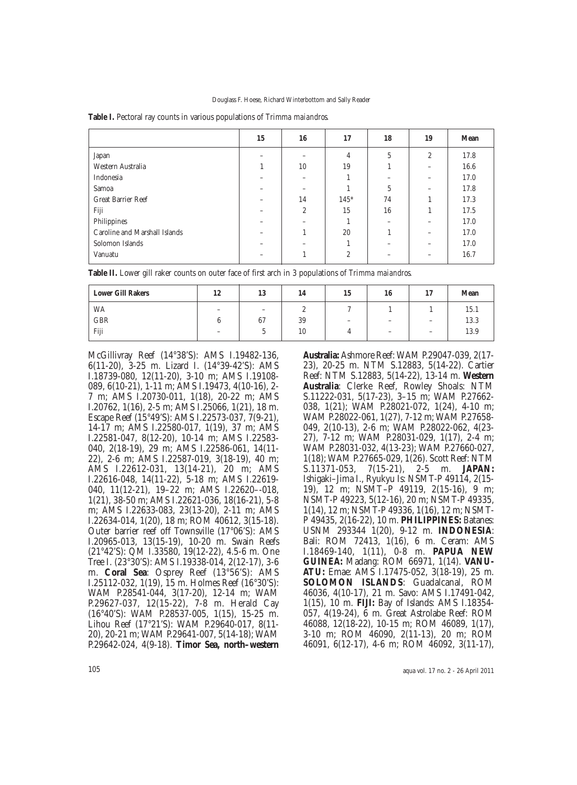|                               | 15 | 16             | 17             | 18 | 19           | <b>Mean</b> |
|-------------------------------|----|----------------|----------------|----|--------------|-------------|
| Japan                         |    |                | 4              | 5  | $\mathbf{2}$ | 17.8        |
| Western Australia             |    | 10             | 19             |    |              | 16.6        |
| Indonesia                     |    | -              |                |    |              | 17.0        |
| Samoa                         |    |                |                | 5  |              | 17.8        |
| <b>Great Barrier Reef</b>     | -  | 14             | $145*$         | 74 |              | 17.3        |
| Fiji                          |    | $\overline{c}$ | 15             | 16 |              | 17.5        |
| Philippines                   |    |                |                |    |              | 17.0        |
| Caroline and Marshall Islands |    |                | 20             |    | -            | 17.0        |
| Solomon Islands               |    |                |                |    |              | 17.0        |
| Vanuatu                       |    |                | $\overline{2}$ |    |              | 16.7        |

**Table I.** Pectoral ray counts in various populations of *Trimma maiandros*.

| Table II. Lower gill raker counts on outer face of first arch in 3 populations of Trimma maiandros. |  |  |  |
|-----------------------------------------------------------------------------------------------------|--|--|--|
|-----------------------------------------------------------------------------------------------------|--|--|--|

| <b>Lower Gill Rakers</b> | 12                       | 13                       | 14 | 15                       | 16                       | 17<br>                   | <b>Mean</b> |
|--------------------------|--------------------------|--------------------------|----|--------------------------|--------------------------|--------------------------|-------------|
| WA                       | -                        | $\overline{\phantom{0}}$ | ∼  |                          |                          |                          | 15.1        |
| GBR                      |                          | 67                       | 39 | $\overline{\phantom{a}}$ | $\overline{\phantom{a}}$ | $\overline{\phantom{a}}$ | 13.3        |
| Fiji                     | $\overline{\phantom{a}}$ | ັ                        | 10 |                          | $\overline{\phantom{0}}$ | $\overline{\phantom{a}}$ | 13.9        |

McGillivray Reef (14°38'S): AMS I.19482-136, 6(11-20), 3-25 m. Lizard I. (14°39-42'S): AMS I.18739-080, 12(11-20), 3-10 m; AMS I.19108- 089, 6(10-21), 1-11 m; AMS I.19473, 4(10-16), 2- 7 m; AMS I.20730-011, 1(18), 20-22 m; AMS I.20762, 1(16), 2-5 m; AMS I.25066, 1(21), 18 m. Escape Reef (15°49'S): AMS I.22573-037, 7(9-21), 14-17 m; AMS I.22580-017, 1(19), 37 m; AMS I.22581-047, 8(12-20), 10-14 m; AMS I.22583- 040, 2(18-19), 29 m; AMS I.22586-061, 14(11- 22), 2-6 m; AMS I.22587-019, 3(18-19), 40 m; AMS I.22612-031, 13(14-21), 20 m; AMS I.22616-048, 14(11-22), 5-18 m; AMS I.22619- 040, 11(12-21), 19-22 m; AMS I.22620--018, 1(21), 38-50 m; AMS I.22621-036, 18(16-21), 5-8 m; AMS I.22633-083, 23(13-20), 2-11 m; AMS I.22634-014, 1(20), 18 m; ROM 40612, 3(15-18). Outer barrier reef off Townsville (17°06'S): AMS I.20965-013, 13(15-19), 10-20 m. Swain Reefs (21°42'S): QM I.33580, 19(12-22), 4.5-6 m. One Tree I. (23°30'S): AMS I.19338-014, 2(12-17), 3-6 m. **Coral Sea**: Osprey Reef (13°56'S): AMS I.25112-032, 1(19), 15 m. Holmes Reef (16°30'S): WAM P.28541-044, 3(17-20), 12-14 m; WAM P.29627-037, 12(15-22), 7-8 m. Herald Cay (16°40'S): WAM P.28537-005, 1(15), 15-25 m. Lihou Reef (17°21'S): WAM P.29640-017, 8(11- 20), 20-21 m; WAM P.29641-007, 5(14-18); WAM P.29642-024, 4(9-18). **Timor Sea, north–western**

**Australia:** Ashmore Reef: WAM P.29047-039, 2(17- 23), 20-25 m. NTM S.12883, 5(14-22). Cartier Reef: NTM S.12883, 5(14-22), 13-14 m. **Western Australia**: Clerke Reef, Rowley Shoals: NTM S.11222-031, 5(17-23), 3–15 m; WAM P.27662- 038, 1(21); WAM P.28021-072, 1(24), 4-10 m; WAM P.28022-061, 1(27), 7-12 m; WAM P.27658- 049, 2(10-13), 2-6 m; WAM P.28022-062, 4(23- 27), 7-12 m; WAM P.28031-029, 1(17), 2-4 m; WAM P.28031-032, 4(13-23); WAM P.27660-027, 1(18); WAM P.27665-029, 1(26). Scott Reef: NTM<br>S.11371-053, 7(15-21), 2-5 m. **JAPAN:** 7(15-21), 2-5 m. **JAPAN:** Ishigaki–Jima I., Ryukyu Is: NSMT-P 49114, 2(15- 19), 12 m; NSMT–P 49119, 2(15-16), 9 m; NSMT-P 49223, 5(12-16), 20 m; NSMT-P 49335, 1(14), 12 m; NSMT-P 49336, 1(16), 12 m; NSMT-P 49435, 2(16-22), 10 m. **PHILIPPINES:** Batanes: USNM 293344 1(20), 9-12 m. **INDONESIA**: Bali: ROM 72413, 1(16), 6 m. Ceram: AMS I.18469-140, 1(11), 0-8 m. **PAPUA NEW GUINEA:** Madang: ROM 66971, 1(14). **VANU-ATU:** Emae: AMS I.17475-052, 3(18-19), 25 m. **SOLOMON ISLANDS**: Guadalcanal, ROM 46036, 4(10-17), 21 m. Savo: AMS I.17491-042, 1(15), 10 m. **FIJI:** Bay of Islands: AMS I.18354- 057, 4(19-24), 6 m. Great Astrolabe Reef: ROM 46088, 12(18-22), 10-15 m; ROM 46089, 1(17), 3-10 m; ROM 46090, 2(11-13), 20 m; ROM 46091, 6(12-17), 4-6 m; ROM 46092, 3(11-17),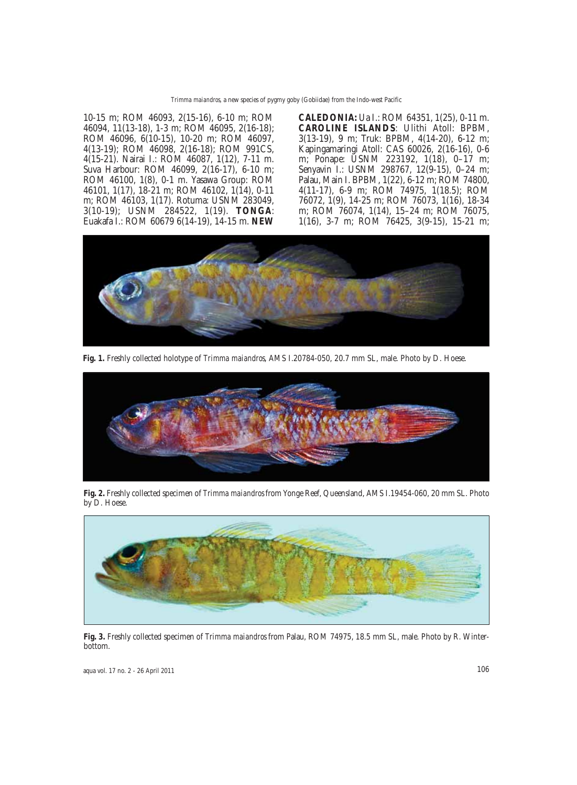10-15 m; ROM 46093, 2(15-16), 6-10 m; ROM 46094, 11(13-18), 1-3 m; ROM 46095, 2(16-18); ROM 46096, 6(10-15), 10-20 m; ROM 46097, 4(13-19); ROM 46098, 2(16-18); ROM 991CS, 4(15-21). Nairai I.: ROM 46087, 1(12), 7-11 m. Suva Harbour: ROM 46099, 2(16-17), 6-10 m; ROM 46100, 1(8), 0-1 m. Yasawa Group: ROM 46101, 1(17), 18-21 m; ROM 46102, 1(14), 0-11 m; ROM 46103, 1(17). Rotuma: USNM 283049, 3(10-19); USNM 284522, 1(19). **TONGA**: Euakafa I.: ROM 60679 6(14-19), 14-15 m. **NEW**

**CALEDONIA:** Ua I.: ROM 64351, 1(25), 0-11 m. **CAROLINE ISLANDS**: Ulithi Atoll: BPBM, 3(13-19), 9 m; Truk: BPBM, 4(14-20), 6-12 m; Kapingamaringi Atoll: CAS 60026, 2(16-16), 0-6 m; Ponape: USNM 223192, 1(18), 0-17 m; Senyavin I.: USNM 298767, 12(9-15), 0–24 m; Palau, Main I. BPBM, 1(22), 6-12 m; ROM 74800, 4(11-17), 6-9 m; ROM 74975, 1(18.5); ROM 76072, 1(9), 14-25 m; ROM 76073, 1(16), 18-34 m; ROM 76074, 1(14), 15–24 m; ROM 76075, 1(16), 3-7 m; ROM 76425, 3(9-15), 15-21 m;



**Fig. 1.** Freshly collected holotype of *Trimma maiandros*, AMS I.20784-050, 20.7 mm SL, male. Photo by D. Hoese.



**Fig. 2.** Freshly collected specimen of *Trimma maiandros* from Yonge Reef, Queensland, AMS I.19454-060, 20 mm SL. Photo by D. Hoese.



**Fig. 3.** Freshly collected specimen of *Trimma maiandros* from Palau, ROM 74975, 18.5 mm SL, male. Photo by R. Winterbottom.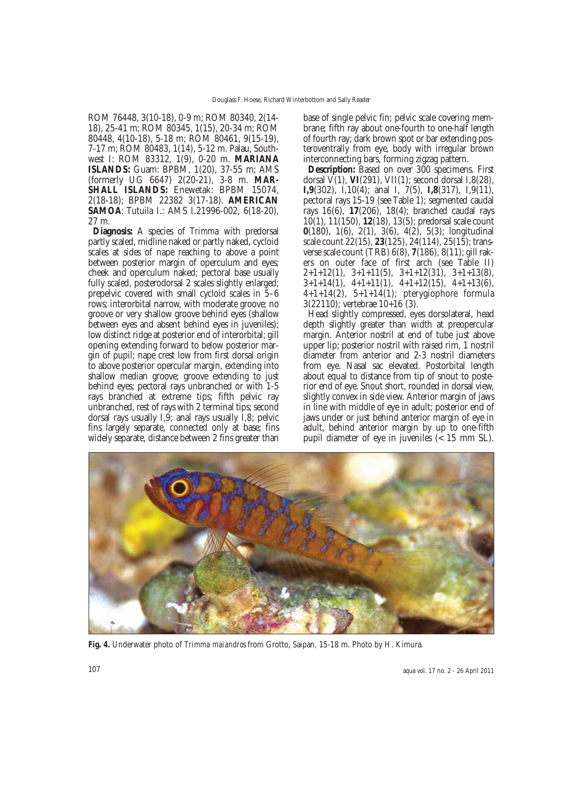ROM 76448, 3(10-18), 0-9 m; ROM 80340, 2(14- 18), 25-41 m; ROM 80345, 1(15), 20-34 m; ROM 80448, 4(10-18), 5-18 m; ROM 80461, 9(15-19), 7-17 m; ROM 80483, 1(14), 5-12 m. Palau, Southwest I: ROM 83312, 1(9), 0-20 m. **MARIANA ISLANDS:** Guam: BPBM, 1(20), 37-55 m; AMS (formerly UG 6647) 2(20-21), 3-8 m. **MAR-SHALL ISLANDS:** Enewetak: BPBM 15074, 2(18-18); BPBM 22382 3(17-18). **AMERICAN SAMOA**: Tutuila I.: AMS I.21996-002, 6(18-20), 27 m.

**Diagnosis:** A species of *Trimma* with predorsal partly scaled, midline naked or partly naked, cycloid scales at sides of nape reaching to above a point between posterior margin of operculum and eyes; cheek and operculum naked; pectoral base usually fully scaled, posterodorsal 2 scales slightly enlarged; prepelvic covered with small cycloid scales in 5–6 rows; interorbital narrow, with moderate groove; no groove or very shallow groove behind eyes (shallow between eyes and absent behind eyes in juveniles); low distinct ridge at posterior end of interorbital; gill opening extending forward to below posterior margin of pupil; nape crest low from first dorsal origin to above posterior opercular margin, extending into shallow median groove; groove extending to just behind eyes; pectoral rays unbranched or with 1-5 rays branched at extreme tips; fifth pelvic ray unbranched, rest of rays with 2 terminal tips; second dorsal rays usually I,9; anal rays usually I,8; pelvic fins largely separate, connected only at base; fins widely separate, distance between 2 fins greater than base of single pelvic fin; pelvic scale covering membrane; fifth ray about one-fourth to one-half length of fourth ray; dark brown spot or bar extending posteroventrally from eye, body with irregular brown interconnecting bars, forming zigzag pattern.

**Description:** Based on over 300 specimens. First dorsal  $\bar{V}(1)$ , **VI**(291), **VII**(1); second dorsal I,8(28), **I,9**(302), I,10(4); anal I, 7(5), **I,8**(317), I,9(11), pectoral rays 15-19 (see Table 1); segmented caudal rays 16(6), **17**(206), 18(4); branched caudal rays 10(1), 11(150), **12**(18), 13(5); predorsal scale count **0**(180), 1(6), 2(1), 3(6), 4(2), 5(3); longitudinal scale count 22(15), **23**(125), 24(114), 25(15); transverse scale count (TRB) 6(8), **7**(186), 8(11); gill rakers on outer face of first arch (see Table II)  $2+1+12(1)$ ,  $3+1+11(5)$ ,  $3+1+12(31)$ ,  $3+1+13(8)$ ,  $3+1+14(1)$ ,  $4+1+11(1)$ ,  $4+1+12(15)$ ,  $4+1+13(6)$ ,  $4+1+14(2)$ ,  $5+1+14(1)$ ; pterygiophore formula 3(22110); vertebrae 10+16 (3).

Head slightly compressed, eyes dorsolateral, head depth slightly greater than width at preopercular margin. Anterior nostril at end of tube just above upper lip; posterior nostril with raised rim, 1 nostril diameter from anterior and 2-3 nostril diameters from eye. Nasal sac elevated. Postorbital length about equal to distance from tip of snout to posterior end of eye. Snout short, rounded in dorsal view, slightly convex in side view. Anterior margin of jaws in line with middle of eye in adult; posterior end of jaws under or just behind anterior margin of eye in adult, behind anterior margin by up to one-fifth pupil diameter of eye in juveniles (< 15 mm SL).



**Fig. 4.** Underwater photo of *Trimma maiandros* from Grotto, Saipan, 15-18 m. Photo by H. Kimura.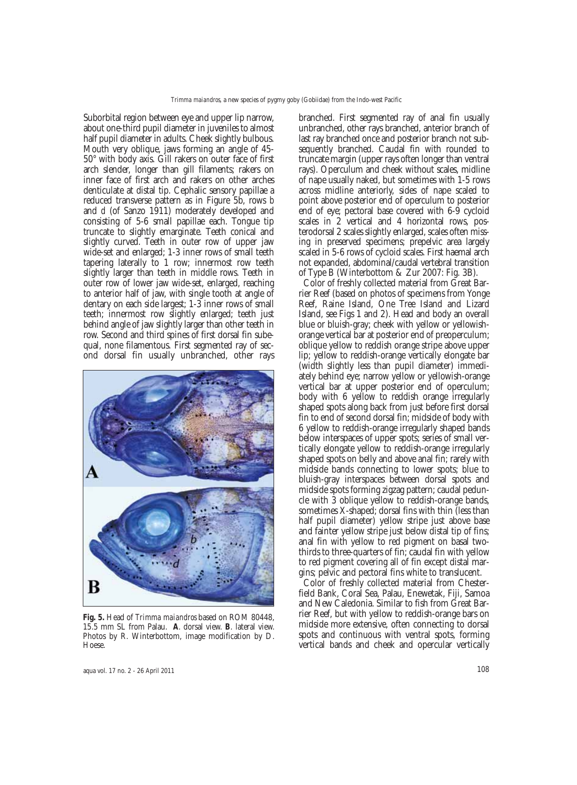Suborbital region between eye and upper lip narrow, about one-third pupil diameter in juveniles to almost half pupil diameter in adults. Cheek slightly bulbous. Mouth very oblique, jaws forming an angle of 45- 50° with body axis. Gill rakers on outer face of first arch slender, longer than gill filaments; rakers on inner face of first arch and rakers on other arches denticulate at distal tip. Cephalic sensory papillae a reduced transverse pattern as in Figure 5b, rows *b* and *d* (of Sanzo 1911) moderately developed and consisting of 5-6 small papillae each. Tongue tip truncate to slightly emarginate. Teeth conical and slightly curved. Teeth in outer row of upper jaw wide-set and enlarged; 1-3 inner rows of small teeth tapering laterally to 1 row; innermost row teeth slightly larger than teeth in middle rows. Teeth in outer row of lower jaw wide-set, enlarged, reaching to anterior half of jaw, with single tooth at angle of dentary on each side largest; 1-3 inner rows of small teeth; innermost row slightly enlarged; teeth just behind angle of jaw slightly larger than other teeth in row. Second and third spines of first dorsal fin subequal, none filamentous. First segmented ray of second dorsal fin usually unbranched, other rays



**Fig. 5.** Head of *Trimma maiandros* based on ROM 80448, 15.5 mm SL from Palau. **A**. dorsal view. **B**. lateral view. Photos by R. Winterbottom, image modification by D. Hoese.

branched. First segmented ray of anal fin usually unbranched, other rays branched, anterior branch of last ray branched once and posterior branch not subsequently branched. Caudal fin with rounded to truncate margin (upper rays often longer than ventral rays). Operculum and cheek without scales, midline of nape usually naked, but sometimes with 1-5 rows across midline anteriorly, sides of nape scaled to point above posterior end of operculum to posterior end of eye; pectoral base covered with 6-9 cycloid scales in 2 vertical and 4 horizontal rows, posterodorsal 2 scales slightly enlarged, scales often missing in preserved specimens; prepelvic area largely scaled in 5-6 rows of cycloid scales. First haemal arch not expanded, abdominal/caudal vertebral transition of Type B (Winterbottom & Zur 2007: Fig. 3B).

Color of freshly collected material from Great Barrier Reef (based on photos of specimens from Yonge Reef, Raine Island, One Tree Island and Lizard Island, see Figs 1 and 2). Head and body an overall blue or bluish-gray; cheek with yellow or yellowishorange vertical bar at posterior end of preoperculum; oblique yellow to reddish orange stripe above upper lip; yellow to reddish-orange vertically elongate bar (width slightly less than pupil diameter) immediately behind eye; narrow yellow or yellowish-orange vertical bar at upper posterior end of operculum; body with 6 yellow to reddish orange irregularly shaped spots along back from just before first dorsal fin to end of second dorsal fin; midside of body with 6 yellow to reddish-orange irregularly shaped bands below interspaces of upper spots; series of small vertically elongate yellow to reddish-orange irregularly shaped spots on belly and above anal fin; rarely with midside bands connecting to lower spots; blue to bluish-gray interspaces between dorsal spots and midside spots forming zigzag pattern; caudal peduncle with 3 oblique yellow to reddish-orange bands, sometimes X-shaped; dorsal fins with thin (less than half pupil diameter) yellow stripe just above base and fainter yellow stripe just below distal tip of fins; anal fin with yellow to red pigment on basal twothirds to three-quarters of fin; caudal fin with yellow to red pigment covering all of fin except distal margins; pelvic and pectoral fins white to translucent.

Color of freshly collected material from Chesterfield Bank, Coral Sea, Palau, Enewetak, Fiji, Samoa and New Caledonia. Similar to fish from Great Barrier Reef, but with yellow to reddish-orange bars on midside more extensive, often connecting to dorsal spots and continuous with ventral spots, forming vertical bands and cheek and opercular vertically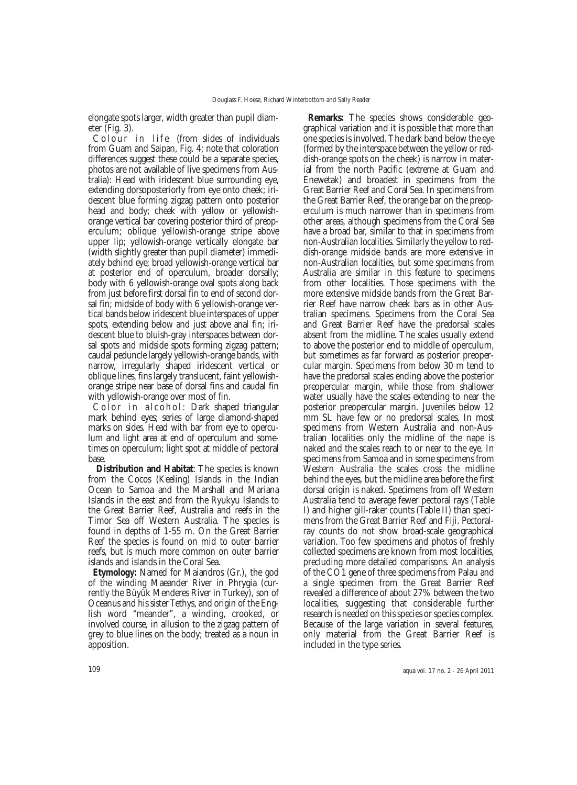elongate spots larger, width greater than pupil diameter (Fig. 3).

Colour in life (from slides of individuals from Guam and Saipan, Fig. 4; note that coloration differences suggest these could be a separate species, photos are not available of live specimens from Australia): Head with iridescent blue surrounding eye, extending dorsoposteriorly from eye onto cheek; iridescent blue forming zigzag pattern onto posterior head and body; cheek with yellow or yellowishorange vertical bar covering posterior third of preoperculum; oblique yellowish-orange stripe above upper lip; yellowish-orange vertically elongate bar (width slightly greater than pupil diameter) immediately behind eye; broad yellowish-orange vertical bar at posterior end of operculum, broader dorsally; body with 6 yellowish-orange oval spots along back from just before first dorsal fin to end of second dorsal fin; midside of body with 6 yellowish-orange vertical bands below iridescent blue interspaces of upper spots, extending below and just above anal fin; iridescent blue to bluish-gray interspaces between dorsal spots and midside spots forming zigzag pattern; caudal peduncle largely yellowish-orange bands, with narrow, irregularly shaped iridescent vertical or oblique lines, fins largely translucent, faint yellowishorange stripe near base of dorsal fins and caudal fin with yellowish-orange over most of fin.

Color in alcohol: Dark shaped triangular mark behind eyes; series of large diamond-shaped marks on sides. Head with bar from eye to operculum and light area at end of operculum and sometimes on operculum; light spot at middle of pectoral base.

**Distribution and Habitat**: The species is known from the Cocos (Keeling) Islands in the Indian Ocean to Samoa and the Marshall and Mariana Islands in the east and from the Ryukyu Islands to the Great Barrier Reef, Australia and reefs in the Timor Sea off Western Australia. The species is found in depths of 1-55 m. On the Great Barrier Reef the species is found on mid to outer barrier reefs, but is much more common on outer barrier islands and islands in the Coral Sea.

**Etymology:** Named for Maiandros (Gr.), the god of the winding Maeander River in Phrygia (currently the Büyük Menderes River in Turkey), son of Oceanus and his sister Tethys, and origin of the English word "meander", a winding, crooked, or involved course, in allusion to the zigzag pattern of grey to blue lines on the body; treated as a noun in apposition.

**Remarks:** The species shows considerable geographical variation and it is possible that more than one species is involved. The dark band below the eye (formed by the interspace between the yellow or reddish-orange spots on the cheek) is narrow in material from the north Pacific (extreme at Guam and Enewetak) and broadest in specimens from the Great Barrier Reef and Coral Sea. In specimens from the Great Barrier Reef, the orange bar on the preoperculum is much narrower than in specimens from other areas, although specimens from the Coral Sea have a broad bar, similar to that in specimens from non-Australian localities. Similarly the yellow to reddish-orange midside bands are more extensive in non-Australian localities, but some specimens from Australia are similar in this feature to specimens from other localities. Those specimens with the more extensive midside bands from the Great Barrier Reef have narrow cheek bars as in other Australian specimens. Specimens from the Coral Sea and Great Barrier Reef have the predorsal scales absent from the midline. The scales usually extend to above the posterior end to middle of operculum, but sometimes as far forward as posterior preopercular margin. Specimens from below 30 m tend to have the predorsal scales ending above the posterior preopercular margin, while those from shallower water usually have the scales extending to near the posterior preopercular margin. Juveniles below 12 mm SL have few or no predorsal scales. In most specimens from Western Australia and non-Australian localities only the midline of the nape is naked and the scales reach to or near to the eye. In specimens from Samoa and in some specimens from Western Australia the scales cross the midline behind the eyes, but the midline area before the first dorsal origin is naked. Specimens from off Western Australia tend to average fewer pectoral rays (Table I) and higher gill-raker counts (Table II) than specimens from the Great Barrier Reef and Fiji. Pectoralray counts do not show broad-scale geographical variation. Too few specimens and photos of freshly collected specimens are known from most localities, precluding more detailed comparisons. An analysis of the CO1 gene of three specimens from Palau and a single specimen from the Great Barrier Reef revealed a difference of about 27% between the two localities, suggesting that considerable further research is needed on this species or species complex. Because of the large variation in several features, only material from the Great Barrier Reef is included in the type series.